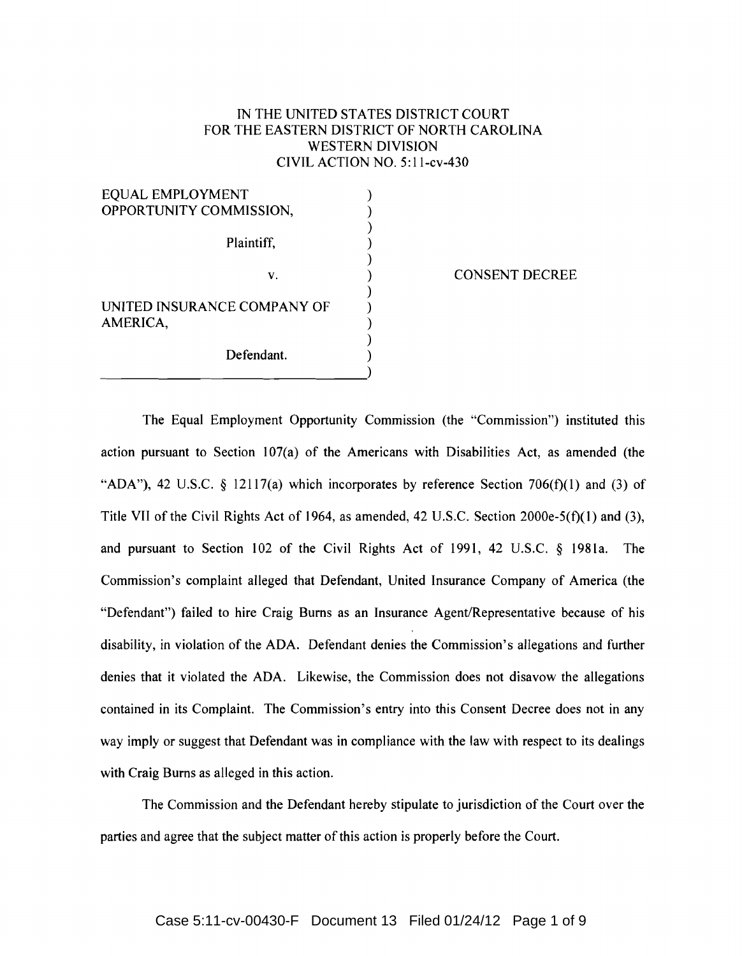## IN THE UNITED STATES DISTRICT COURT FOR THE EASTERN DISTRICT OF NORTH CAROLINA WESTERN DIVISION CIVIL ACTION NO.5: ll-cv-430

| EQUAL EMPLOYMENT<br>OPPORTUNITY COMMISSION, |  |
|---------------------------------------------|--|
| Plaintiff,                                  |  |
| V.                                          |  |
| UNITED INSURANCE COMPANY OF<br>AMERICA,     |  |
| Defendant.                                  |  |

#### CONSENT DECREE

The Equal Employment Opportunity Commission (the "Commission") instituted this action pursuant to Section 107(a) of the Americans with Disabilities Act, as amended (the "ADA"), 42 U.S.C. § 12117(a) which incorporates by reference Section 706(f)(1) and (3) of Title VII of the Civil Rights Act of 1964, as amended, 42 U.S.C. Section 2000e-5(f)(l) and (3), and pursuant to Section 102 of the Civil Rights Act of 1991, 42 U.S.C.  $\&$  1981a. The Commission's complaint alleged that Defendant, United Insurance Company of America (the "Defendant") failed to hire Craig Bums as an Insurance Agent/Representative because of his disability, in violation of the ADA. Defendant denies the Commission's allegations and further denies that it violated the ADA. Likewise, the Commission does not disavow the allegations contained in its Complaint. The Commission's entry into this Consent Decree does not in any way imply or suggest that Defendant was in compliance with the law with respect to its dealings with Craig Bums as alleged in this action.

The Commission and the Defendant hereby stipulate to jurisdiction of the Court over the parties and agree that the subject matter of this action is properly before the Court.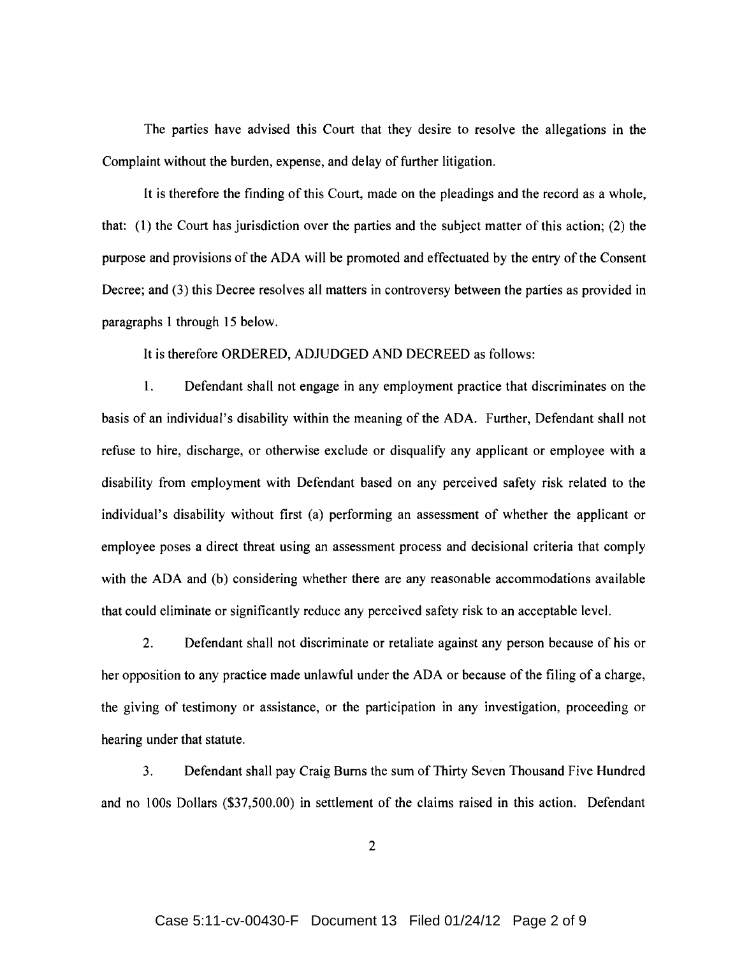The parties have advised this Court that they desire to resolve the allegations in the Complaint without the burden, expense, and delay of further litigation.

It is therefore the finding of this Court, made on the pleadings and the record as a whole, that: (1) the Court has jurisdiction over the parties and the subject matter of this action; (2) the purpose and provisions of the ADA will be promoted and effectuated by the entry of the Consent Decree; and (3) this Decree resolves all matters in controversy between the parties as provided in paragraphs 1 through 15 below.

It is therefore ORDERED, ADJUDGED AND DECREED as follows:

1. Defendant shall not engage in any employment practice that discriminates on the basis of an individual's disability within the meaning of the ADA. Further, Defendant shall not refuse to hire, discharge, or otherwise exclude or disqualify any applicant or employee with a disability from employment with Defendant based on any perceived safety risk related to the individual's disability without first (a) performing an assessment of whether the applicant or employee poses a direct threat using an assessment process and decisional criteria that comply with the ADA and (b) considering whether there are any reasonable accommodations available that could eliminate or significantly reduce any perceived safety risk to an acceptable level.

2. Defendant shall not discriminate or retaliate against any person because of his or her opposition to any practice made unlawful under the ADA or because of the filing of a charge, the giving of testimony or assistance, or the participation in any investigation, proceeding or hearing under that statute.

3. Defendant shall pay Craig Burns the sum of Thirty Seven Thousand Five Hundred and no 100s Dollars (\$37,500.00) in settlement of the claims raised in this action. Defendant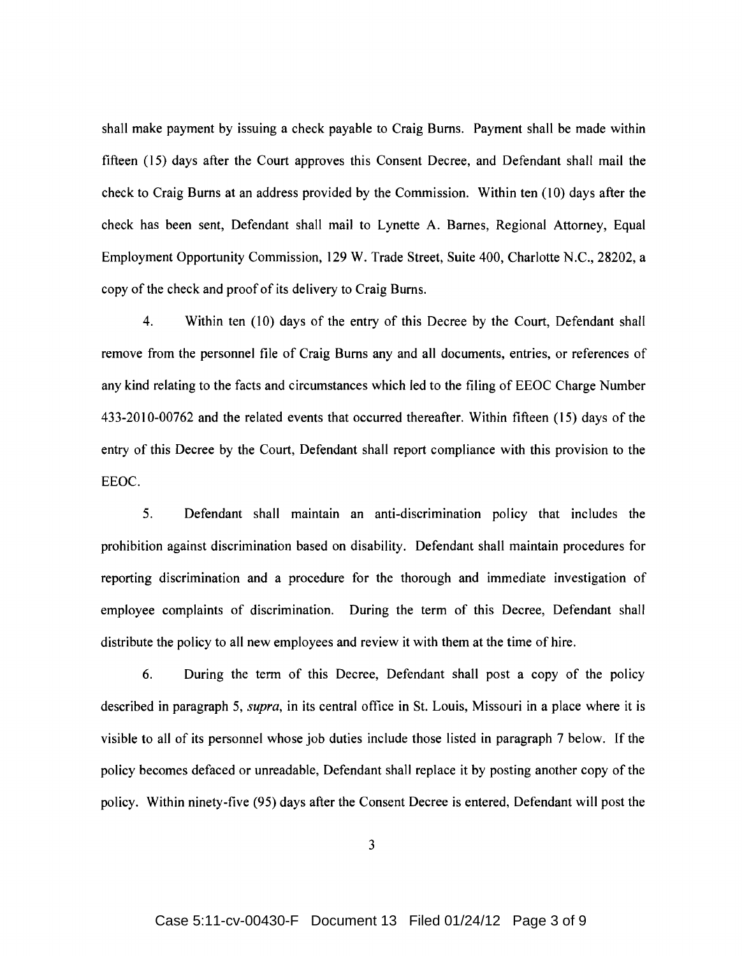shall make payment by issuing a check payable to Craig Burns. Payment shall be made within fifteen (15) days after the Court approves this Consent Decree, and Defendant shall mail the check to Craig Burns at an address provided by the Commission. Within ten (10) days after the check has been sent, Defendant shall mail to Lynette A. Barnes, Regional Attorney, Equal Employment Opportunity Commission, 129 W. Trade Street, Suite 400, Charlotte N.C., 28202, a copy of the check and proof of its delivery to Craig Burns.

4. Within ten (10) days of the entry of this Decree by the Court, Defendant shall remove from the personnel file of Craig Burns any and all documents, entries, or references of any kind relating to the facts and circumstances which led to the filing of EEOC Charge Number 433-2010-00762 and the related events that occurred thereafter. Within fifteen (15) days of the entry of this Decree by the Court, Defendant shall report compliance with this provision to the EEOC.

5. Defendant shall maintain an anti-discrimination policy that includes the prohibition against discrimination based on disability. Defendant shall maintain procedures for reporting discrimination and a procedure for the thorough and immediate investigation of employee complaints of discrimination. During the term of this Decree, Defendant shall distribute the policy to all new employees and review it with them at the time of hire.

6. During the term of this Decree, Defendant shall post a copy of the policy described in paragraph 5, *supra*, in its central office in St. Louis, Missouri in a place where it is visible to all of its personnel whose job duties include those listed in paragraph 7 below. If the policy becomes defaced or unreadable, Defendant shall replace it by posting another copy of the policy. Within ninety-five (95) days after the Consent Decree is entered, Defendant will post the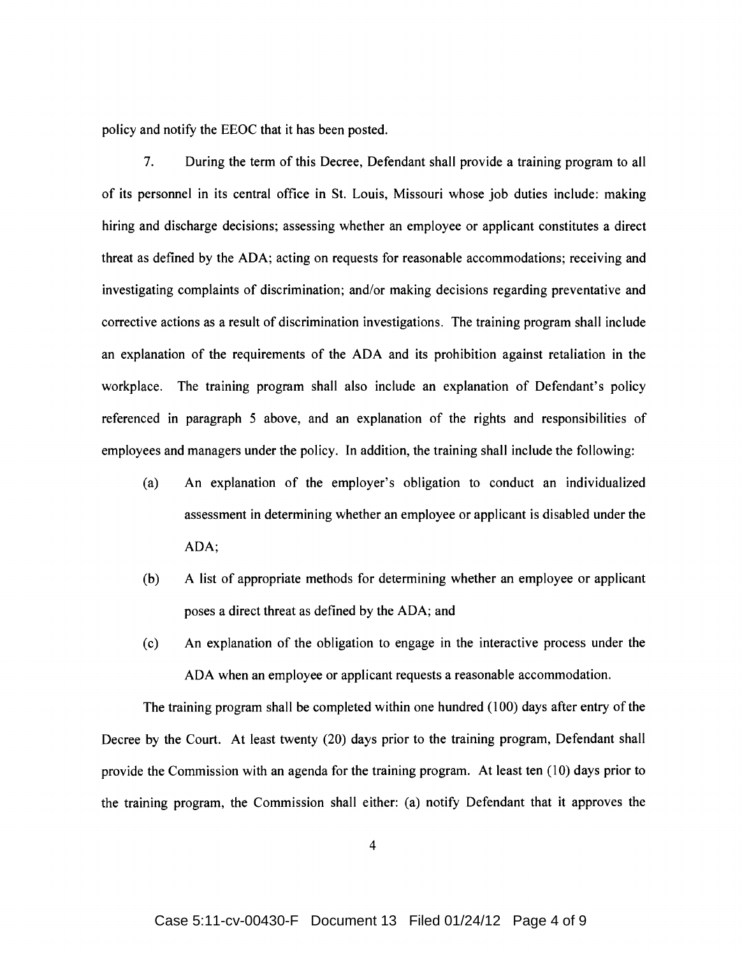policy and notify the EEOC that it has been posted.

7. During the term of this Decree, Defendant shall provide a training program to all of its personnel in its central office in 81. Louis, Missouri whose job duties include: making hiring and discharge decisions; assessing whether an employee or applicant constitutes a direct threat as defined by the ADA; acting on requests for reasonable accommodations; receiving and investigating complaints of discrimination; and/or making decisions regarding preventative and corrective actions as a result of discrimination investigations. The training program shall include an explanation of the requirements of the ADA and its prohibition against retaliation in the workplace. The training program shall also include an explanation of Defendant's policy referenced in paragraph 5 above, and an explanation of the rights and responsibilities of employees and managers under the policy. In addition, the training shall include the following:

- (a) An explanation of the employer's obligation to conduct an individualized assessment in determining whether an employee or applicant is disabled under the ADA;
- (b) A list of appropriate methods for determining whether an employee or applicant poses a direct threat as defined by the ADA; and
- (c) An explanation of the obligation to engage in the interactive process under the ADA when an employee or applicant requests a reasonable accommodation.

The training program shall be completed within one hundred (100) days after entry of the Decree by the Court. At least twenty (20) days prior to the training program, Defendant shall provide the Commission with an agenda for the training program. At least ten (10) days prior to the training program, the Commission shall either: (a) notify Defendant that it approves the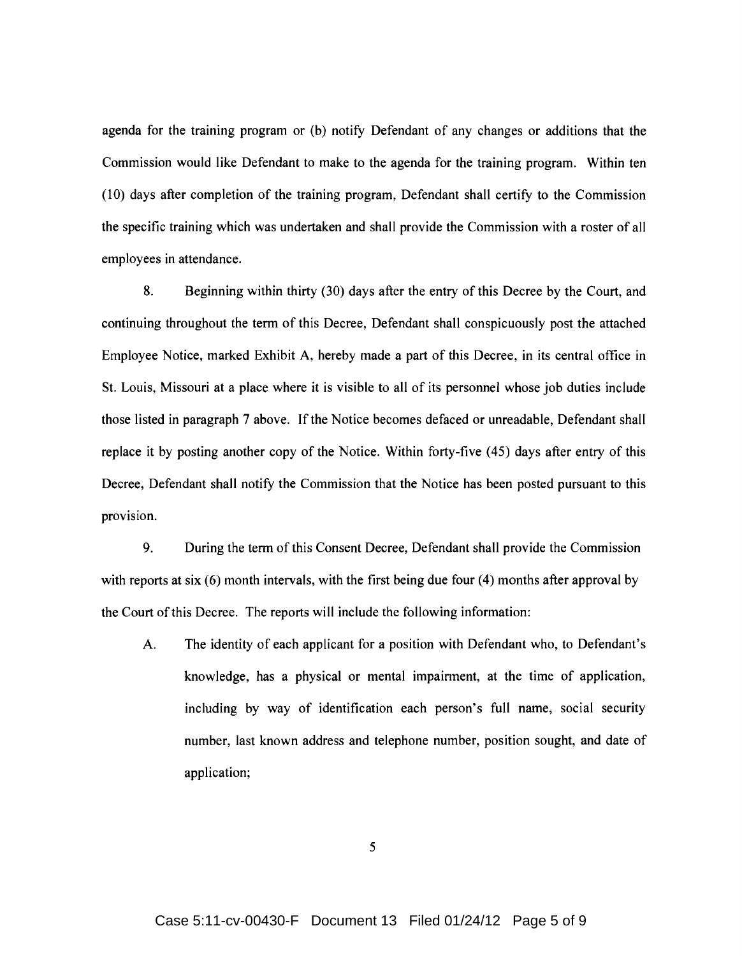agenda for the training program or (b) notify Defendant of any changes or additions that the Commission would like Defendant to make to the agenda for the training program. Within ten (10) days after completion of the training program, Defendant shall certify to the Commission the specific training which was undertaken and shall provide the Commission with a roster of all employees in attendance.

8. Beginning within thirty (30) days after the entry of this Decree by the Court, and continuing throughout the term of this Decree, Defendant shall conspicuously post the attached Employee Notice, marked Exhibit A, hereby made a part of this Decree, in its central office in St. Louis, Missouri at a place where it is visible to all of its personnel whose job duties include those listed in paragraph 7 above. If the Notice becomes defaced or unreadable, Defendant shall replace it by posting another copy of the Notice. Within forty-five (45) days after entry of this Decree, Defendant shall notify the Commission that the Notice has been posted pursuant to this provision.

9. During the term of this Consent Decree, Defendant shall provide the Commission with reports at six (6) month intervals, with the first being due four (4) months after approval by the Court of this Decree. The reports will include the following information:

A. The identity of each applicant for a position with Defendant who, to Defendant's knowledge, has a physical or mental impairment, at the time of application, including by way of identification each person's full name, social security number, last known address and telephone number, position sought, and date of application;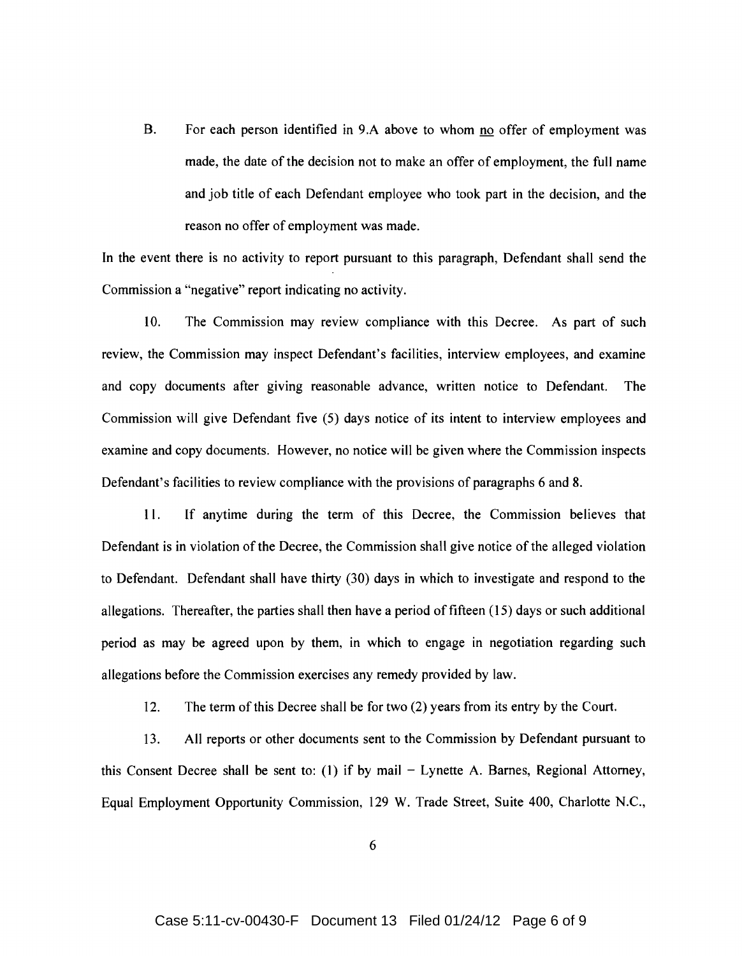B. For each person identified in 9.A above to whom no offer of employment was made, the date of the decision not to make an offer of employment, the full name and job title of each Defendant employee who took part in the decision, and the reason no offer of employment was made.

In the event there is no activity to report pursuant to this paragraph, Defendant shall send the Commission a "negative" report indicating no activity.

10. The Commission may review compliance with this Decree. As part of such review, the Commission may inspect Defendant's facilities, interview employees, and examine and copy documents after giving reasonable advance, written notice to Defendant. The Commission will give Defendant five (5) days notice of its intent to interview employees and examine and copy documents. However, no notice will be given where the Commission inspects Defendant's facilities to review compliance with the provisions of paragraphs 6 and 8.

11. If anytime during the term of this Decree, the Commission believes that Defendant is in violation of the Decree, the Commission shall give notice of the alleged violation to Defendant. Defendant shall have thirty (30) days in which to investigate and respond to the allegations. Thereafter, the parties shall then have a period of fifteen (15) days or such additional period as may be agreed upon by them, in which to engage in negotiation regarding such allegations before the Commission exercises any remedy provided by law.

12. The term of this Decree shall be for two (2) years from its entry by the Court.

13. All reports or other documents sent to the Commission by Defendant pursuant to this Consent Decree shall be sent to: (1) if by mail  $-$  Lynette A. Barnes, Regional Attorney, Equal Employment Opportunity Commission, 129 W. Trade Street, Suite 400, Charlotte N.C.,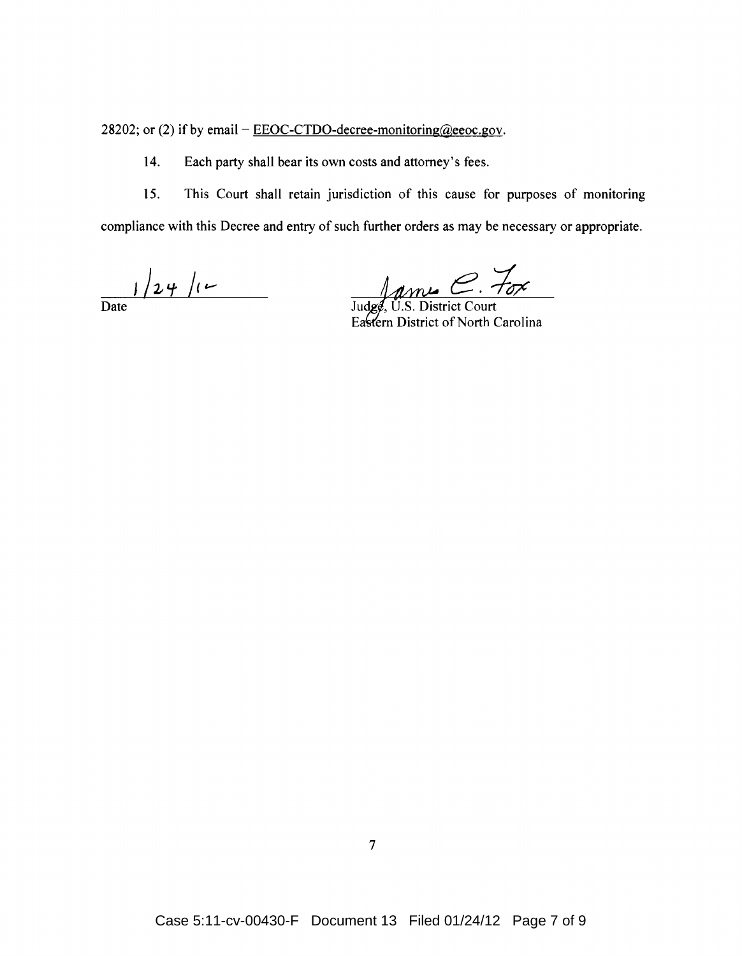28202; or (2) if by email  $-\underline{\text{EEOC-TDO-decrete-mointoring}(\omega)}$ eeoc.gov.

14. Each party shall bear its own costs and attorney's fees.

15. This Court shall retain jurisdiction of this cause for purposes of monitoring compliance with this Decree and entry of such further orders as may be necessary or appropriate.

 $\frac{1}{\text{Date}}$ 

Judge, U.S. District Court

Eastern District of North Carolina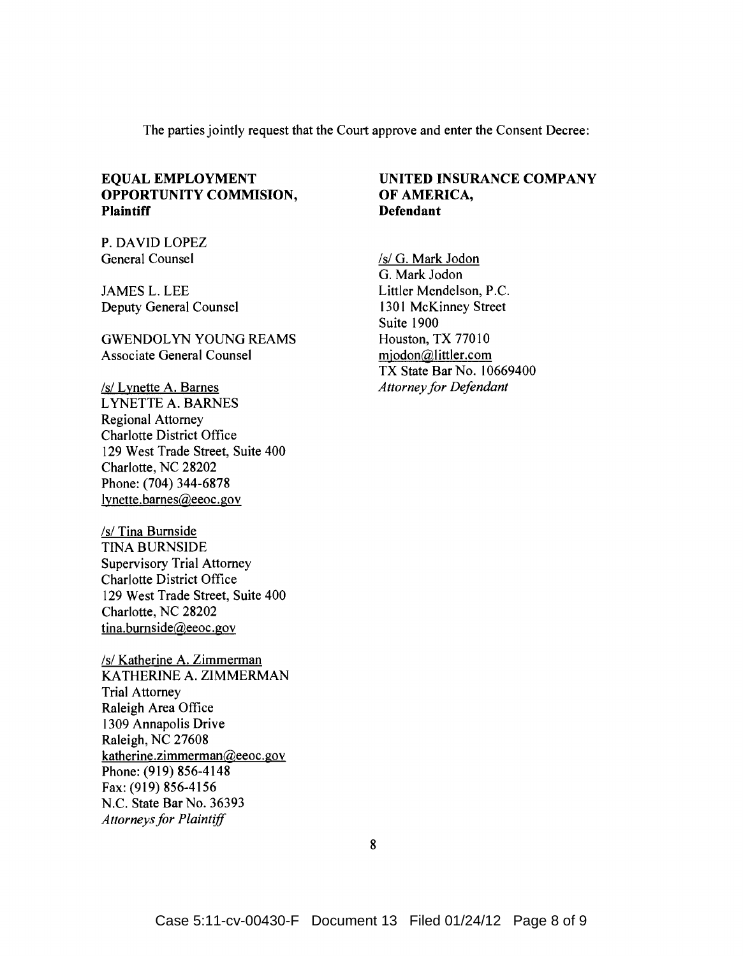The parties jointly request that the Court approve and enter the Consent Decree:

# **OPPORTUNITY COMMISION, OF AMERICA,**  Plaintiff **Defendant**

P. DAVID LOPEZ General Counsel /s/ G. Mark Jodon

Deputy General Counsel 1301 McKinney Street

GWENDOLYN YOUNG REAMS<br>
Houston, TX 77010 Associate General Counsel miodon@littler.com

/s/ Lynette A. Barnes *Attorneyfor Defendant*  LYNETTE A. BARNES Regional Attorney Charlotte District Office 129 West Trade Street, Suite 400 Charlotte, NC 28202 Phone: (704) 344-6878 lynette.barnes@eeoc.gov

/s/ Tina Burnside TINA BURNSIDE Supervisory Trial Attorney Charlotte District Office 129 West Trade Street, Suite 400 Charlotte, NC 28202 tina.bumside@eeoc.gov

/s/ Katherine A. Zimmerman KATHERINE A. ZIMMERMAN Trial Attorney Raleigh Area Office 1309 Annapolis Drive Raleigh, NC 27608 katherine.zimmerman@eeoc.gov Phone: (919) 856-4148 Fax: (919) 856-4156 N.C. State Bar No. 36393 *Attorneys for Plaintiff* 

# **EQUAL EMPLOYMENT UNITED INSURANCE COMPANY**

G. Mark Jodon JAMES L. LEE Littler Mendelson, P.C. Suite 1900 TX State Bar No. 10669400